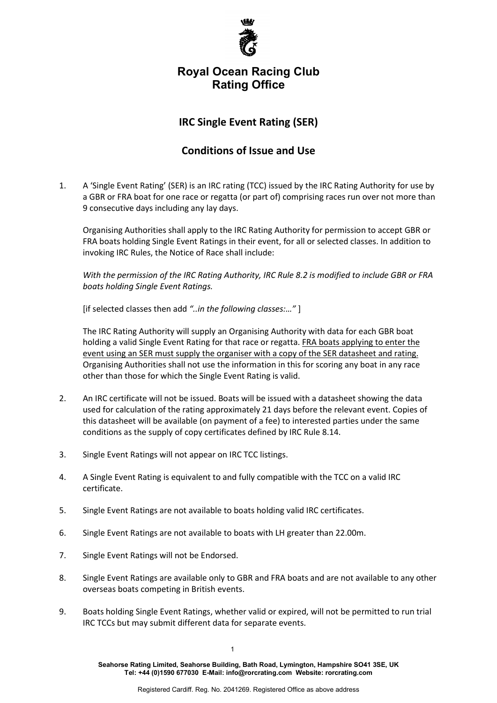

## Royal Ocean Racing Club Rating Office

## IRC Single Event Rating (SER)

## Conditions of Issue and Use

1. A 'Single Event Rating' (SER) is an IRC rating (TCC) issued by the IRC Rating Authority for use by a GBR or FRA boat for one race or regatta (or part of) comprising races run over not more than 9 consecutive days including any lay days.

Organising Authorities shall apply to the IRC Rating Authority for permission to accept GBR or FRA boats holding Single Event Ratings in their event, for all or selected classes. In addition to invoking IRC Rules, the Notice of Race shall include:

 With the permission of the IRC Rating Authority, IRC Rule 8.2 is modified to include GBR or FRA boats holding Single Event Ratings.

[if selected classes then add "..in the following classes:…" ]

The IRC Rating Authority will supply an Organising Authority with data for each GBR boat holding a valid Single Event Rating for that race or regatta. FRA boats applying to enter the event using an SER must supply the organiser with a copy of the SER datasheet and rating. Organising Authorities shall not use the information in this for scoring any boat in any race other than those for which the Single Event Rating is valid.

- 2. An IRC certificate will not be issued. Boats will be issued with a datasheet showing the data used for calculation of the rating approximately 21 days before the relevant event. Copies of this datasheet will be available (on payment of a fee) to interested parties under the same conditions as the supply of copy certificates defined by IRC Rule 8.14.
- 3. Single Event Ratings will not appear on IRC TCC listings.
- 4. A Single Event Rating is equivalent to and fully compatible with the TCC on a valid IRC certificate.
- 5. Single Event Ratings are not available to boats holding valid IRC certificates.
- 6. Single Event Ratings are not available to boats with LH greater than 22.00m.
- 7. Single Event Ratings will not be Endorsed.
- 8. Single Event Ratings are available only to GBR and FRA boats and are not available to any other overseas boats competing in British events.
- 9. Boats holding Single Event Ratings, whether valid or expired, will not be permitted to run trial IRC TCCs but may submit different data for separate events.

Seahorse Rating Limited, Seahorse Building, Bath Road, Lymington, Hampshire SO41 3SE, UK Tel: +44 (0)1590 677030 E-Mail: info@rorcrating.com Website: rorcrating.com